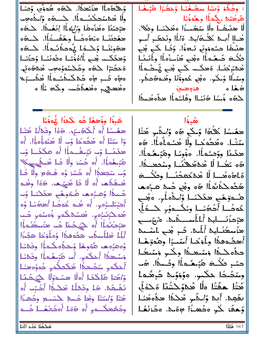4 وحُكَّافٍ وْسَمَّا مِعْتُمْتَا وَجَعَتْهَا هَٰذِهَا وَ لِلْعَوْمِ أَلْمَ هَزَّعَهُ الْمَدْهُ مَعْمَوْهِ وَصَلَّلَ وِلًا مُدْمَحْكْنُــدِيًّا. كــــوَّه وَّاحِذُه و هُبِهُمُمْ بِكُماْلِ وِهُوَٰٓءُمُّا لًا هِنُهُــاً ولًا مُعَمَّـــزُا وَهَٰــاً وِضًا. هِ ٞحِمْنُا وَهُذُوهُا وُرُابُهُاْ إِنْعُمِاْ. ﴿ هُوَ همُصُنُــا مُهُمْصَــاً وِـمُفَـــتُوَاًا. ـكــوَه هُناا أَبِيهِ كَثُبُهُ}بِهِ. ةُالمُّا وِنْتَهَجَ أَسْر ههَوْمُنْا وَحْــهُا هُءَدَاشُـه أَا. حْــهَء ھسُھُا حسُّووںُ نُـھوُّا. وِّڪُا کُـــ قُبِ وَهكَكْـــه بْنَـــ أَاهُوُّـُــا هفُهنُــا وَحَتُّــا حَكْــٰ هُــمُــٰـه أَا وَبْحِــ مَّذَـــزُّه أَا وِلَٰئَـنُـا هُدَمَّتْهِ لَـدهُه وحُـكَـسُّهَوُه وَبِ هُـدْهُهُ وَبِّ. مْدْمَہْدُنَا. ەَھكَــٰہ كَــِ مْٓـِـى لَمِحْـُـولَٰا ەۋە كَبِ ۋە كَمْكْتْمُتْتْ لَهْ شُمَّىرْ ومِمْماْلِ وُمكْنِ. ۞ بِكَ وَوَوْلُلْ وِهُدِهِ وَحَدَّىٰ ەتھىمەير ەقىمكەتسى ولاي ئال رضمضا منابعته فنوهدها لِهُو وُّسُل هُنَّال وِكَاشُواْل مِدْوَمُومُ - هْرِذًا وِذُهِمًا حُم حْكِرًا ۖ يُُوذُمُ الْمَسْرَحِينَ ۖ هُمِ وَ همُسُا أَه أَحْدَهُــَمْ. هَاهُ وَشَمْأَ هَٰتَـا همَّسُا ݣَلَاهَا وُحَكَّى هَء وُٱمِلَّى هَنْا وَا مَتْنَا أَه مَٰحُمكاً وَّب لًا هُنُم{ُّه}ًا. أَه مَثْلُه. وهُدُوكُما ولًا هُــُـولًاه أنَّ هُو ھنَسُل وًٰٮ بَہُـھًــولًا أَه هكْـُــا وُٮ هدَّمِنُا ووُحِيَّدٍ أَلِّ. ووْوِيُـا وهَيُمِعُـداً!. هَبُعُمَاً، أَو حَسَّرَ ولَّا حُـا مُعطَّيحِيَّلا هَه مَعُـــا لُا مُدمَعَــحَـُــا ومْـحعـــدًا. وًى مْبْعِعْدُا أَو كُنَّا وُو فْــوْور ولَّا كُـا هْاهُوهُـــا لَا هُدۡـُدَمَــُــا وِدُكَـــف شَفَكَم أَه لَا دُا شَيَى . 26 وشَد هُشُمحِكُمُنُهُ أَلَّا هُه وَبْدٍ ضَبِّهِ هَـبُهِ هَـ كَـٰـٰهُا وَعَــُومَا هُـٰتَاوِـمَّىٰ مَذَلَّـْـٰا وُب هُـوقِـمَـــو مَكْــُــا وُاللَّهَــابِ. وقبي أَحَبَّىَّاـــرُّوبِ. أَو هُــو خُوصًا أَهدهُــُـل وُو خُوصًا أُدُوُسًا وِمُكُدوُرِ كَــوُلُو هُدكَ ُنُبْوَي. هُنسُكَكُدِي وُّەشُەير كُت هزَدزُنُـــابِهِ ٱلْمُلَّمـــــدَّمـه. هُرَمِّـــــ همَ دَرُنُماُ أَن حَيْحُمَّا حُبَّ هَذَه هُمَ الْمُعَامَلُ هَنَّمهُنُـابِهِ ٱلْمَهِ. ثَــِ بْمَــِ امْـــه ٱبْلَا مْلِلِّسِكَ هِثُوهِكُا وُمِلَّوْكُا هِجُنُوْا أهشوهما وأذكرا أمئب اوهوها ؤەھبُەما هُقومْا وُحجُوهُكُولًا وفْكِنَا. حذُّەخجاً فَمُتَعَجَّا وِجْبِ فَمُتَعَجَّا وَمَنْتَعَدُا أَحَكُمْ إِنَّ كُبُنُهُمْ إِلَّا وَثَمَّنَا ۖ حمّٰـ ۖ وَكُــٰ هُ وَجَعْـُـهِ ۖ وَقَـٰهِ ۖ وَقَـٰهِ ۖ وَقَالَ ۖ وَهُ أَحكُمبر مَحَّىحدًا هَكَعثُمبر خُموَّەمىُـا ومَكَىدًا حكْسِ. ەوَوْوَىھ كَرْشُـْما وَاهَتا هَالْحُدْا أَهلًا هسَـوَلَا ۞حُمَّدًا هَٰتُا هِفَتُا هِلًا مُحْوَّحْتُمْا مَحْمَلِّ تَفَيِّمَه. هَا وَثَمْلُا مْكِمُ! أَكْبُب أَه ِ بِكَٰجِكَ. أَبِكَ وَّامِكْسِ ثَعَـٰكُمَا هَـٰدُّهِ مُحْمَـٰا مَّتْلَا وُاٰسِّتْلَا وَقْدَلَ شَيْخِ لِحَسْبِ وَجَمْعُواْ ودَّهْعلاً ےہر اُہ 26% اُہ دَّنمُ الصَّـہ وُهِقَا لَكُمْ وَشَهْدًا وَوَّهْدًا وَضَرْبُهُمْ

مَحْدُمُا حَزَّىر أَاتَّا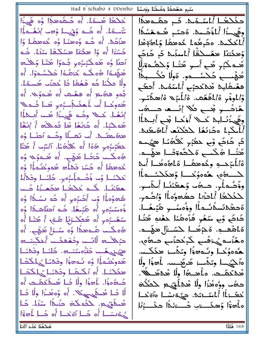Had B`schabo 4 DDenho أَسَمْ بِوَسْلِمَ Had B`schabo 4 DDenho لْمَلَّطُلُّ هُسَمًا. أَو ضُغُّوهِ\$ا وُو فَيْءُا حَكَكُما ٱلْمَحْمَدِ. ضَـِ حصَّــه هَذَا عُنُوْسِكُمْ. أَوْ هُـدْ وَوْيُهَا وُرُوبَ إِنْشُلْدَهُمْ! وِفِّي—زُا ٱلْمُؤَكَّــٰه. هُڪِم هُــٰمَـفَسُمُّا هَزَكُمْ. أَه شُم وُهِعَمُا وُه خُمْعَكَا وَا ٱلمَكَــد. وصَٰـِهُـوما خُـوهها وَلِمُّةِهْدا كَّسَّرَا أَه وَا هِدَّسَا هِسَكْـقَا سَرْاً. حُـو وَهِكَتِبْلِ هِمُسِكِقًا ٱلْمِيزَىٰ ۖ وَ وَ وَ وَ أَحِلًا وُهِ هَٰدِكُمْ نُومٍ جُدوًا هَتْنَا وَلِلْنَاهِ هُــهِكْبُرٖ هَــبِ أُسـرٍ هَتُــا وَحَــهُــه;نُلْ هُكِبُمًا هُوجٌد حُزِهُدًا تَحْشُورًا. أُو هُنْهُــــــــ كَــْـشَــــــەو. هُولًا تُكَــــــبِدًا ولًا حكْبًا خَم فَعُمًا دًا حُجَّب هَسمًا. هِمُمَابِهِ مُهَكِّحِبَى ٱلْمَمَّمِهِ. أَصطَّ بُّوو قَوَّمُور أَو قَهُبِهَا أَو هُدُوَيْلا. أَو وْٱلْمُوفْرِ وْٱلْمُفْعَفِ. وْٱلْمَيْلَا وْٱهْلَائِبِ. مَحْدِيكِ أَبِ أَحْقَيَمَ أَجْرَى مَا فَدِي هُمْوَكْسِ بِهْسِمٍ فَلا }نُسْمَعَهُ هَسْدَهُ إِنْهَـٰا. كَـٰلاَ وِشَـٰهِ فَيٰلِۃًا هَـٰـٰ أَبِـٰهَٰٓاً ا وَهَيْ زُلْبِهِ كَحِلاً أَوْكُما قَمِي أَبِهِ أَلْمَا هَدكَة. أَو حَرْبُهُا قَدا خَمكُو أَ إِنْقَا ٱلمَّذْبِهِ وَحَزِنُهُا حَدَّثَتُم ٱلْمَحْتَدِهِ. هِهَ هِنَدًا. أَبَّ نَصْبًا وَشَّبَّ أَصْبًا وُّهِ كَ كَاكَ وْمِ حَقَّرْ ۚ كَلُّهُمُا هِهَمْ عَلَّاءُ حَصَّيْتُوءِ وَوَوَا أَو كَلاَّوَا ٱلسَّنَّاءِ ۚ أَكْثَرَ لَا تَحْتَلَ هَتُــا هُكْــــ هُكْــُه; هُــا ههُــــه. رُهُ مِكْسَبٍ خُزْصًا مُحْرَبٍ. أَو مُحْدَوُلًا وُو هْ،لَمَ حب وحُدهها هَاهُوهُما أَمِه لْدَمِيعُا أَو حُسِّرْ ثَمْلُم مُدوِكْتُولًا وُو لمَسْتَوْمٍ هُوَوِكْسًا وُمِكْلِمُسُولًا تَكْسًا وًب وَّضُـولَمِ وَمِنْ كَاسًا وِثْلاً لَهُ وِذُهُـه اُب. حــهُــ وِّـعتَكْنُـا أَـذَـب. معَمَّتُ اللَّــم مُحْمَدُ اللَّهُ عَصَمَهُمْ وَلَمَّتُ اللَّهُ لْمُحْتَكَلِ ٱلْمَزْرَاءُ حَقُدُودُواْلِ وَٱحْتَوِرِ. ِّعُودُومُ! وَ ۖ أَكْثَرُو ۖ أَو خُو سُلَّا! وُو |ەَحتىداللىدا ھايا بەۋەمئىس ھَبَّىھُــا. وُّەمَئْتُوپ أَو هَٰٓبَـٰهَا. شُو أَصَلُاهِـذَا وُو كَرَكَ وًى مَمْرٍ فُزْهِهُمْا هِفْبِهِ هَتُنَا مَكَمَّـرُّه ۚ وَ هَٰـهَـٰـٰـٰٓئُ اللَّـٰفَىٰ ۖ أَ هَٰـَـْـٰ أَه هُاهْڢِهِ. هُدَمُسا لِمَسْتَرَا هِهَــه. رُّەكْسا ھُـەھكا ۋە مَـْـرُّل ھُـُى. أَە هِ هُنُومٍ مُحَدِّمَةٍ مِنْ مَحْمَدُومٍ. كرلماسه لأئب وفقعف أمكيتيه مَهْيَمَ مَتْزَوْمَتْتُ: كَانُنَا وَذَلَكَ مَنْ هُدووُكُما وِئَدُووُا وِكَلَّمَــز هِكَكَــد. هَدوكتُدلًّا وُه شَـهووُّا وثَـهـُـاحِـلكَـثَـا دَأْكِيْكَ وَحُدُّبَ هُرِهَبِــب. لَمَرْهُ وَلَا محكَّله. أَه يَكْتَمُا وَتَمْتَاحَ لِكَتْمَا مْدْكْكَتْتْ. وْلْمْسْرْدَا وْلْا مْدْكْتْ. كَـِدْهُوذًا. لِمُعَذَّرُ وَلَا حُـا مُحِكِّكَتَ أَو حەُب ووُه هُذُا وِلًا هُدْلَمْيٌ هِ لِكَثَلُه لًا حُــا مَّــدَّينٍ مِيكَلا . أَه وُهمَّنُوا ولًا حُــا لْحَمَّــزَاْ أَلْمَّــرَبَّةَ. حَيَّـة سُبَّـ هَ مَّة كُمَّــ مُعطَّقٍ مِ. حَثَمَحَة حَبْطًا مَثَلًا. حَا وأووثًا وُهكَّسِنِي حَسِّنِكُمَّا حَكَسِيُّنَا يُقسلُ أَو حَــا آة بَعــا أَو حَــا لِمُعَةَ

مَحْدُمُا حَرَّىرِ ٱلْأَمَّا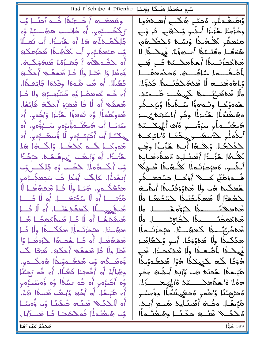Had B`schabo 4 DDenho أَسَمْ بِوَسْلِمَ Had B`schabo 4 DDenho . وِتَعْمَدْتُ مِنْ أَنْتَ يَبْنُكُمْ أَنْتُ أَحِبُ أَنْ وَب وَاهُىڤُـهأَى. ەُھـُـب ھُكْـب أَهــداَهُو. }كَكَمِسْرُهِبْ. أَوْ كَانَسْتْ هِوَّمْسْتَهَا وُو وحُزُّه مُا هَٰٓئُمُوا أَمطُسٍ وَُمِكِهُمٍ. ثَمِّ وَٛ جَالِكْهَـٰهِلَاهَ هَا أَه هَزْــزُا. أَب تُعــلُا عنُعكُم ݣْلْكُمْلَّا وْسَٰلَا هْلَاكْلُوهُمْ وَّ عنُعدَا بُوم أَ للأَوُحدَٰ اللَّذِكَاثَ هُقفًا مفْتَــمُمَّا أَبِــهِ فَيْــْ مَا لَّا أَه للصَّملاَه أَبَعَ ذَهَا هُنهَ; كَنْ . هُدْكُدْنُـْـبِدًا أَبْعَدُهُدْـبَيْدْ كُبِّ هُبْ وَّومُدا وَا مَّتْلِ ولَّا حُلِّ مَجْمَعُنِهِ أَحَكُّ فَ لَمَْتُ ولم مُلِّف فِي وَحِدُّوهِ لِ حَعَّمُلًا. أَو هُـد هُـووَّا وحْلاوًا جَاتِهِـدًا. وَٰٓاهُ وهُتِي لَا مُحِمَّحِكْتُبِيهِۢا جَدَوَيَٰٓا: أُه شَـه خُـه محمَّـا وُه ضَمَّزُوْـــَزِهَ وِلَّا ضُـا وْلًا مْحَاهُدِئْتُ مِدْلَ كَيْهِدْ: هَـــوْمَا. هَمكَد أَه لَا دُا هَمَ; أَحكَرَه فَائِمًا. هُدووُكُما وِنُدهووُا مَكَلَّمَدُا وَُجَكِنَكُم مَسْرَدُكُمْ الْمُزْمَرُ أَلْمَ الْمُسْرَدُ مِنْ الْمُسْرَحِينَ وَلَا يَا مِنْ مِنْ مَدَاسُلُ أَبِ الْأَمْعُلُسُمْ أُمْرُهِ بِمُسْتُرُوُّهِ . أَه الْمَحْكَسُدِ أَمِنٍ وَمُؤْسِسٍ ذَاتِ أَلَى لَكَسْتَمَاءَ تمكبتملاة الشض بالمفسثك بالموهوأ لْمَكْسَا أَبَ أَكْبُصُبُومِ لَا قُمِعَكُمْ وَمِنْ أَو هُدوحُه اللَّه حُمْضًا. وَالْحُدْهُ اللَّهُ لِكَحْكَمَا. وَلِكُلُّهَا أَبِيهِ هَٰٓئُكُمْ! وَقِب هَّزْتُوْلِ أَو وَأَعْقَبَ رَبِّهِرْهُمْهَا. دَرْجَتْزَا كْلُــوْا هَنّْــزُا أَهْبِئُـابِهِ هَعِدْهِ هُــابِهِ أَمطُب، هَمْ ْدَرُبُدَاْ لَكُنْ هُمْاً مَْدِهَاْ لَا وًَٮ أَكْــــَّةُومُاْ لِـحْــَــب وُو جَالِكَــــم وُب إِنْجُوءُاْ. كَانِكُتْ أُوْكُلْ هُبْ سْجَعْكِمْشُومْ، فُــوهُنّى كَــــلا أُوْكَـــا حشْفَعَـــدُّرِ محَمْكُـــم. وَحُــل وِلَا حُــل مَحْدَوهُ مَحْــل لَلاَ هَعكمه هُب ولًا هُداوُوْتُنَبِّدُا أَجْمَيتُ هَّتُتِـــا أَه لَّا مَّخَتْعْــــا. أَه لَّا خُــــا لِحْمُعِۃٗا لَّا مُعمِلَمُحُنُّدُا لِحَمْحُتِهُا وَلَٰا مَّىكَ<sub>كِمَ</sub>يْنَا كَعْفَىْهُتْنَا. أَو لَا دُنَا مْحِمْحِدْنَـــــــمِدًا ۞ وْهِ هْــــــــا. ولَا مُعفَّدَهُـا أَه لُا حُـا مُعدِّكمحُـا مَـا هُدكُمحُنَّــــــــداُ حَجُّق ۡـــــــا. وَلَا هِرَهُ ـــَـٰٓزَا. هرَجَزُنَــٰم}ُ | هكَكَــٰـدُا وِلُا كُــل هُدْكُرِمُبُّــمِدًّا ۖ كُحدةٌ ۖ - بْنَ ا. ۚ مِحَ حَزُبُّــهِ أَلَ هْدِهُهُما. أَو ضُلَّ هُجَلُّهُ! جَزُّوهُما وَا هكَكْـدأَا وِلًا مْدَاوُوْتُـا. أَسو وَحْــعَدَاهُـــ; مَّتْا وِلًا مَا مْحَكَّد أَحدٌه. مَّرْدَا حَّت فَي حَــٰهُا ۖ أَهُـعـٰهُا ۖ وِلًا ۚ مُحمَّدَتُ ۚا. ۚ مُحِـــِ ؤُومًا كُلُوهِ ۚ وَّ مَحْمَدُ وَمَجَّلًا هُوجُ صَحِبٍ. هُوَمًا لَكُنْ لَكَنِيكُمُ اهُوْا هُدْهُشُووُلِهُ! وهَ*ذَانًا* أَو أَخُوجِبُا كَعُبُلًا. أَو خُو رَحِبُ*نًا* هَبُعِمَا هَجَنَهُ هُبَ وَّابِهِ أَحَدُثَهُ وَجُبِ وَّه أَكْبُومِ أَو ثُم نِسْلًا وُو وُوسِّيتِّومِ  $1.5 - 8.16$  to  $\sim 1.6$  to  $\sim 1.5$ |ەَحْرْجِئْنُا وَُۙاحُمْرِ ەَحكَى ِنُنُّهُ أَا وِوُّەممُــر أَه هَبُـمُا. أَه أَخَذَ وَامِعٌــ مُسَمَّا هَا. أَه لَلْكَتَلا مُسَنِّدِ كَنْتُنَا وًا وُوَسُلْ هَبُعْدا. ودُخ أَمُّسْلِط هُمِع أَبِي وً مَحْشَدَاً فَمَحْتَمَدًا ضُلَّدَ مَنْ الْمَسْتَرَامَ كَكْتُمْ مْنُسْرَة حَكْسُلَ وَهُمْعُنُسُوءُلُّا مَحْدُمُا حَرَّىرِ ٱلْأَمَّا  $\frac{1}{2}$  فَلا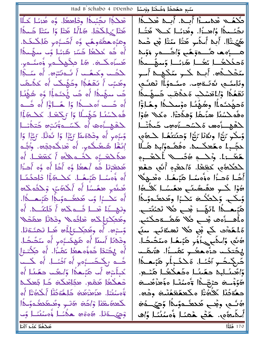Had B`schabo 4 DDenho أَسَمْبِو حَقَّحَتُهُمْ بِوْنِسُلْ فَكْهُمْ هُدْمِيهِ أَلِيهِ. أَبِيهِ هُكِمَا هَكَذَٰا بِجَبُيمًا وَدَامِعِكَا. وُه مُرْسًا كَبِلًا هَٰنْلِ كَلْكُحْلِ. هَٰلاً لَهُ هَٰذَا وَا حَنْثَا حَـٰـمَاً بِصَّـٰبِهِۢا وُاهِــزُا. وِهُٰٓزَيَٰـا كَــِيْ هَٰٓيَٰـا وِهِزُهِ مِعْتَوِمُهِ ۚ وَهِ أَضَـٰزُهِ ۖ مَالِكُـٰذَٰ}. هُيُخْلًا. أَبِيا أَحَكْبِ هَٰتُا مَخْتًا هُوَ ضُما أَه هُه مُحْمَدُ هُنَا هَنَّا وَّا مِجْمَدُاً هـــــــوْهما هــُـــــــــەوّحمَّــــى وَاهْــــــــــــــو وَوَّـــد ھَسَرُەكْتْ ھَا بِكُهْلُتْمِ وُّەشْتَەپر. ەْھكْكْشَا مْعْسَا ھَزْسًا وَسَهَّسْمَاْ لْكَتُبْ وَكَيْفُتْ أَ نُبْدِئُتُونَ أَوْ مُتَنَبِّرًا مَنْصْلِـــاْهِ. أَبِــا كُـــو مَنْكُلِهِــا أَسو وهُدْدُ، أَ تَقْعُدُا وَخَيْبَكَ، أَه كَذَّبَعُب وِتَامِنُــم، بِهَ'نَــةِمِ-.. مِيئَــمِوُلًا! نَعْبُـم، كَــٰ مِـهُـٰهُا أَه كَـٰ لُحِنَّـٰهِ اللهُ وَّه هُـهُـُـُـا تَقَمُّمُّا وْالمَّشْكِ هَدْهُقب ضَيْهُمْا أَه حَـــب أهجـــدًا وَا جَـَــارْ الْهُ حَـــو َهُحِجُمْدُهِ أَلِ وَهُجُنًا وَوْسِكِمَّا وِهَارَّا فَمكْسُلًا حَهَّـلًا وَا رَجَّعْـا. كَكْـجَابًا وفُوحِسُلًا هِنَمِطًا وُهِجُوتًا. وكَحِدٌ وَوُل للتَّكِيلُوها أَو لَكْسُلُووُنُدُوه كَتِلَائِلِ لِحْفَمِ أُوهِ وَلِكْتُمِكُوهِ وَلَمَلَتْكُمْ وَّجْمِرٍ أَه وَشَدْهَ مَثَلٍ رَبِّزًا وَلَا شَمَلْلِ رَبِّزًا وَل وَمكْرِ رَبُّهُ! وِنَّهْلَا رَبُّهُ! وَحِنَّتَنُعُـا ۖ كَـ ۞َٯِ إِنُقْلَ هَُىعَىْدُهِر. أَو قَرْنَدُودِيَهِ. وَأَفُو حجّبها مكعكــمه. مفَعْــو/بم هُــلا مكَلَمْتَ وَالْحَسَمِينَ مَنْ يَحْمَدُ ﴾. أَه هَعَمَــزا. وأحمده هُمَّــــــــــا لِمَحمَدُ و مَٰدِعْدَتِنَا خُم أَحْمَدًا وَۚه أَجُل أَه وَّه أَحـٰزًا لحثَكِرةُو، كَضِّعْدًا. ةَاحْمَدِهِ أَنَّهِ، حَفْع أُه زُهسًا هُبُسًا. كَكِنْهَاْ وْاحِكْتَا أَصَلَ هَصَرُا وذُوسُا هَرَّمْا. وقَدِيْلا مَّىنُمْ وَ مَمَّىنَا أَو أَكْوَّىً وَ مَدَّدَه ھُوۡۤا كُـــرٖ ھڤَىھُىبِّے ھھُىسُــا كَلَــٰھُا أَه مَكْسُرًا وَبِ هَٰذِهُنَدُوَبِمُ الْهَيْمِيمَانَ. وًىكَّى. وَحْدَثَكْ، مَحْسَرًا وهُدهَّدهُومَاًا وِنْهِبَٰهُ قَبْلَ فَدِيدٌ أَكْلَمُكُمْ. أَه هَّزْمِهِ الْأَلْمُ -: ثَمِي هَٰلا نَصْنُتَــبِ. ومُحكِّكَهُكُمْ مْلِثُمْلًا وَعْلَالًا مِعْضًلًا هأَهِــزُهِم يُمِـــ مَلا هُهُــةحكْسُه. هَاهُمَانَ لَمْ بِهِ ثَلا نَعْمُقَنِّ مِنْ وَّــْرَه. أَه وهُدِكْــرَجْلِلُه هَــا تَـهـُــّةتَا. وِثْلاَنَا أَسْنَا أَه هَٰذِكْـزُهر أَه مُخُدَّدًا. الْمُشَى وَٱلطَّاحِرِيدُوْ وَمُبَعْدًا مِمْشَدَدًا. أُه لِحُتكَا خُوزُهِ مِعْلِ عَمْدًا. أَه مَكْتوَل لحَقَّقَت دَوْمَعْظُــوِ كَمُّــزَّا. فَتُمَكَّب ثُـــه رِكْـنَـــــزُهر أَه أَتُــُــا. أَه كُـــب ضَرِكْتِصُـو أَصُـّا. هَـْتَـُـبِلُو هَبَّـمـذَا كَبِلَٰتِهِ أَبِ هَٰٓبُعَكَٰا وَٱلْعَـُبِ حَعَّنُـا أَه وَّاهُمنُـابِهِ حَمَّمَـٰـا وَحَمِكْهُـا هَنْـو. تَـمكُمُا مَٰـهُـُمْ. مَذَامْكُـهْ خَـا دَمَكُــه |۞وۡ؋ٛ؎۞ۦڞۯٓڂۿٞٳۦۊۘ۠ڡٮۢٮ۠ڷٵۄۏؙۿۯۛۿٮ۞ .<br>وَّەسُلُدًا. مزَمْزَمَٰدِه كَلِمُّةكُلُّ أَكْلَمُنَّا أُه حعَّةَ مُنْا لَلْأَهُ تَا مكْعَمَّعْهُمْدَة وَدُّهِ. لْكَعِدِهَ مَعْنَا وَاحَةَ 50ْبِ وِمُعَكِدِهُ وَمِمْلَا وَمِمْ هُ نُــمٍ وَبْنَــمٍ مَكْــمَوْمِكُمْ وَجَهَــمُهُ وْحِيْ ݣَـْلْ. 500% هَكْتُـا ذُهِنْنْـا وُت أَحِكْمَةُوبٍ. هَضْ هُعِمًا وَّوَمِمُنُكَ وُّاف مَحْدُمُا حَرَّىرِ ٱلْأَمَّا  $170$  هَالُم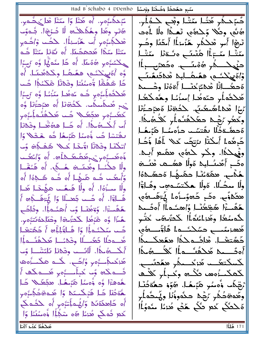Had B`schabo 4 DDenho أَسَمْبِو حَقَّحَتُهُمْ بِوْنِسُلْ عُمْدَاءُوبِ. أَو هَٰتَا وَا عَتَا قَدَا حَدِيبٍ. كَبَمحكُر هُتُا مَتْا وِقْبِ كَـٰهِۚأَر. وَهُبْ وَهَٰذَا وِحُكُلُنَّدُو لَٰا ضُرُّرْهَا. فُـدَوَّب هُنُّى وِضًلا وَجْلَهُمْ نُعَـٰٰهُ! هَلَّا لَمْعَتَّ تَعْكَبُمُوْمِ أَبِ هُنُوبَهُمْ. كَثَب وْاصُّمِهِ نْرِهْا أُمِرٍ هْكِكُرٍ هُنُمزِكًا أَمكُنُا وِحُــو مَتْلَا مَكْلًا هُدهدُمَلْ. أُه نُقَالَ مَتْلَا ذُء<sup>ِ</sup> مَحْشًا مَحْــٰٓزِ أَا هُنْسًے وشَـٰۃثَا ۖ مَّشَـٰا حَكِمَتُوْهِ وَهُمَانَ أَوْ كُلْ مُعَالِّلًا وَهُ رَجِعُ! دنْ كَسْمُر ، هُ مْكَسْبٍ. وَحَمْدُ جِبْراً! وُّه أَهَيْكْتُم، فَقَيْضًا وِكْلاَمُنْتُا. أَهْ أَوْاهَ بِكُنْتُ هِمْ مُعْشَابِهِ هُدَفَعَمَنَـــمِ كَا هَفُقْا وُْمِنْتُا وِثْلاَتْا هْكْنُلُا كُب هُحعُكُرَاتٌا هُمْتَزِحُنَّكَ أَةَهُلُا وَحُصِيمًا هَٰٓدُهُمۡلُّوۡوَ ۚ وَ اللَّهُ وَ اللَّهُ وَ وَاللَّهُ وَ وَاللَّهُ وَ وَاللَّهُ وَ وَاللَّهُ وَ وَ هَٰٓدُهُمۡلُو حَمۡمَعُدَا ﴾معزُّمًا وِحُمَدُهُمَا يْ هُدكُمدُكٌ. كَدُةتْلْ أَه هرَجْتَنْلْ وُه مَرْمُ الْهَدْمَاهُمْعَمَىّ. حَدُّةَ لَا هَجَرَتْ أَلْمَنَا عَظَمَ كَتَكْتُرُومِ مَتَكَفِّلًا ۖ شَبِ مَكَلَّقُتُوَلَّمَ يُوَمِّرُ |وكْتُدِ رُضْهُ حَتَّكْتُمَارِ كَلَّـْهُـمَّا. أَبِ أَحْـــهُــدًا. أَو حَــا هِهُقْــا وَحْلاَنَا هُحِمْـةذُلَّا بِقُتِمَـبِ حِزْهِـمُـا هَٰٓءُـهُـا تَقْتَسْلَا هُبَ وُوَمِمُلْ هُوَيْهُمْ هُو هُوْهَلًا وَا دَٰٓٓٓہِشَا ٱمۡكُنۡلَ سَّٖتِكُ ۚ كَٰلا ۖ لَمُقَا وَّدَٰٓا ۖ أتكْتَلْ وَشَمْتْلُ اقْبِدْلِ حَدْلاً هَفَـٰكُلَّةَ وَّب وفَيكِكُما. وكُم كَحَدُّى هِمَّىمِ أَبِكَ. وَّەمَّدْمُوسِ كَمْ كَمْتَمَمَّدْ مِنْكَمْ مِنْ مَنْ كَمْ كَمْ كَمْ كَمْ مَنْ ەكَــرٖ أُهُـىـُــابِــا ەُولًا ھەُــــعَــ ھُــُــة ولًا حكْسًا وهُنسَة هُـكَى. أَه فَنُغْـا هُكُتِ. مِدْعَة صُلْحَ الْمُدَمُّلُ وَحِمَّكُمْ ا وَٱمْعًـٰب كُـٰه هَٰجُـا أَه كُـٰه هَـٰهِ ٱهْ أَه ولًا محكُّلًا، وُولًا حكَّتمَّـدهوب وقَـارَّا ولًا مسَّوَٰہٗا، أُو وِلًا فَمعٌــٰ عَهْدًا مَّــٰا هدَكُمْ وَبِهِ. وَكُمْ كُمُوَّجِبَّهُمْ لَمُبْقَدِيَّةٍ فَاوْا. أَه حَــب جَعــلَا وَالرِّبَوَكَــٰٓ<ُوهِ أَمْ لِمَكَسِنْزَا هَجَعَتُسَا وُاهِمْهِ أَا أُهتَسِما ِّهَقَّـــٰٓءَا. وَوَهُنَــٰا وَٓـٰ اُهتَــٰهِاًا. وِثَاثَــٰ لْحُمْمُعُلْ وِهَٰٓزَاءُنُّهُ أَلَّا لَكُدْتُمِهَٰٮ كُتُب هُنَزَا وُهِ هَزْهُا كُحَبّْتُهَا وِحْتَاحِفْتُتَوْمِنِ. هُهزمُب حمَّدُها فَاوَّ هُ حُــٰ مَكْـُـٰمِلًا وَا هُـاوَّٰٰٰٰٓٓٓٓاٍم أَ حُمَّتْهَـٰل كَعَّتِمْها. مْاِئْدْدْلَا مْكْمْحْكْسْدًا مُّـــوطًا دَهُـــلًا وذَٰهْـــا مَكْدُنَــولُمْ ا أَكْـــ هُـكُل. لَّانُـــب وَكَلانَا تَامَّتْنَـــا وُب أُهدَّـــمِي هَٰذِكُفُّــهِ أَل كَذُــهِ هُما هُزِنُدِيَا صَلَّىٰ اللَّهُ عَلَيْ عَلَيْهُ وَاللَّهُ عَلَيْهِ وَاللَّهُ عَلَيْهِ وَاللَّهِ وَاللَّه ݣﯩﯩﮕﺘﻐَـــﯩ ﻣُﻨِﻜـــﯩﮕﯧﺮ ﮬﯚﻣﺌﯩـــﻰ. ثُـــەڭلە ۋَبَ كَبِلَـــــزُەبر مَــــەڭك أَ للعكسةُهما تُكْسُ وبُسباء لِلْسُك هُوشَا وُو زُومُا هُرُهُا. مِدِّهُكُ كَا ْ رَجّْكُ وَّەمْبُو هَٰٓبُمُّا. ۞َوۡءَ حَمَّةَكُنَّا هُدَدُا كَـا فَبْكَــٰـٰه وَا هَـٰدۃحَكَمْـُرُه ِ وهَدةكُمُر رُضْهُ حثَّەوؤُلُا ولُمحَّدلُر أَه كَاهِدَّةَنَّهُ وَٱلْحَدَّبَّةِومِ أَه لِكَسْمَكِي |ەَ كَحَكَّى كَعِر حَكَّى هُنْ هُزْمًا مِنْدَوْلًا كُمْ شُمْكُمْ هُٰٓئِنَا ۞ه سْلَالُهِۚ أَوْسَٰئُنَا وَا

مَحْدُمُا حَرَّىر ٱلْأَمَّا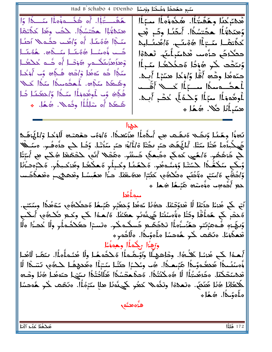مّرو حمّحكُم وَصُدُمُ ووْسُل Had B schabo 4 DDenho هَقَبِ - وَٰٰٰٰٓٓٓٓاٰ، أَو هُخُـَـوْوَٰٰٓٓ أَا مَـَــٰٰٰٓٓ أَوَّا فَكِمْكِرُكْنُا وِـهُقَنُةُ أَا. هُكُوْوُهاْا مِمَّ أَا مِتَدَّوَّةًا حَدَّسُدًا. حَدُّ وَمَا حَدَّمَةً وَهمَمْتُوَا الْمَحْتَسُمَّا. أَمكَنُـا وضَـ ۚ ثَبَـــ مَعْــٰٓهَا (53ْمَعَّـا. أَه وَاهُــٰب حثَـٰه لا اَحتُـا كَكَتِصْـا مُتَ الْمُ دُمَّــَى. كَاهُمْـلْبِــا كُسْبَ وُّەمِنْسَا (20 مِنْسَار مِنْسَلارە). بْھُدُمْسَار حجَّدَاجُ حزَّەت مْحَامَّرِ أَبِّ. ثَعْجَةَا وْهِزُمْزَىنَگُدْمِ وَأَوْضًا أَوْ هُدِهِ خُلْاهُمْ ا وۡنَکۡتَت ۂُرٖ ہُوۡتُا ہُحنُکَھُـا مَّـہِۖاُا مَنْجُلَ هُم مُوطُلُ وْٱخْدَى هُـجُدَى وَّبِ أَوْحُـلَ حمّههُا وحْمَ أَقَا وُاوْكا هِمْرْاً أَبِيهِ. وطَيطَةِ سَاءُرُهِ. أَحدُدُ مِثْلاً سَدًا حَمَلاً أهدَّـــومماً مســَرْأًا كَــــلا أَقُـــب كُلُّاهَ وًا لُوهُدوٰلُمْ سَلَّمُ أَوْ احتَكْسًا كُلّ لْمُوهُدوْلُمْ سَبِّلُا وَحَكَّلُ حُصَّرٍ أَبِ2. كَعِنْكُمْ أَو سْلَلْمَاْ وَثُوبِكْ. وَهُمَا. \* هِمَدِلْمُل هُدْ. وَهُمُل \* حجزا تَهُوَّا وِهَيْنَا وَيَضَلا وَيَصْحَبْ هِي أَجْدُمَاْ هَزَيْهِكُا. وَاوْوَى حَقَقِتُهِ لَلْوَجُنَا وَالْمَرْوَكُ كَهِكْبِزُه! هَٰتُا عَتْلَ. ٱلمْهُكَدِ حَبْرٍ نَكْتًا ةَالْمَارْ; حَبّ عَزُتْ!. وَحُـا حَبّ حزَّهفُـب. معْــفًا لَحِ حَرْهُهُو. هَ/هُبِي كَمكَ مَضُعِكَ حَسْسُ. ممَّصْلا أَنُّهِ لحَمْقَعْا هُكُم هِي أَءَتُنَا وَّىكَى مَكْتُمُّا كَمَنْنَا وَدَسُّومُو. هَكَمَّسُا وكَبِلُو هَعَكْمًا وَهَٰٓتَكِبِلُو. هَكَرُوصُرُنَا وَٱكْتَهَا هَ ٱمَنَّعَ وَقُكُلِّ وَكُلُّوهِ كَلَّتِهِ هُوَ عَقَلَه دَءًا هَمَّسُلٍّ وَقَعَلَهُم وَهُم أَكْست لمع أَشَّوهِ وَوْدَسُهِ هَبُمْلَ شَهْلَ \* حدأهُا اَبْ ۖ كُلِّ هُـٰٓءَىٰٓا حَاَّتْنَا لَّا هُدوِّحْـُنَآا. حمُّوْا مَحفُرُ ومَا عَصْدُوا وَحَمَّدُوا وحكتب هَحصٌرٍ كَلَّ هَمَلُقًا وكُتُا هَوُّهسُتُا كَهِنُّوا هِعَيّْتُا. هَ/هـهُا كَلَّ وجُلـع مِثْلِوْهِ أَسْكبي وَّىٰهَـٰ:وِ فُـٰہِمُّنۡتُو حَمَّنُــٰٓ:ہٰاٗا تَٰہۡحَمَّـٰہِ حَٰسَکُـٰہِ ۖ ہِ سَبۡ! حَمَّدُے اُم اُلْ كُحـُ:ْا ه هْجَمَّاوْيًا. دَيْشْف جُمْ جُوصِيًا دَلَّادُوْجَدًا. دَلَّاشُوپ وَرَهِّزًا رِكْماً اوجودُّمَّا أَهدًا كُبِ هُزِسًا كَلْـرَهُا. وِحْلِعِهِـلًا وَزَوْحِشُـداًا هَـحْدُدهُـا وِلًا هُنْدَداًواً. بِنَصَّـز لَلهُـا ذُّەمْئُىمْا هَٰدْهُدوَّىمْا هَٰزَىمْدا. ھُب وِنْكْرًا حَتَّنْا مِّتزِءَّا ەهَٰدەھْل كَلَّەُي تَتَنْدَا لَّا هْدَمَنْحَكْنَا. وَحَرَمُدْ:أَا لَا رَوْوَحُكْتُذُا. وَحِدْهِحْسُدُا مَكَاحُتُدًا بِنَيْهَا حَيَوْمُا رَوْبَا و لَمُحْمَّائًا هُنَّا هُنَكَبٍ. وتَعَدَّةَا وِتَذَهَبُ كَحَمُّرٍ لَكَبِيَّدَنَا هَلِا مَتَزِهُ أَا. وتَشْعَب كُن خُوجسًا ەمۇمۇلا. ش**ە**لم وأهمعته مَحْدُمُا حَرَّىرِ ٱلْأَمَّا  $112$  فَلِلْأ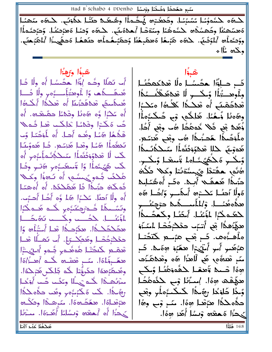Had B`schabo 4 DDenho أَسَمْبِو حَقَّحَتُهُمْ بِوْنِسُلْ

لْكُلُّهُ ۚ كُنُّدُوُنُـا تُسُبُّنُـا. وِكُلامُرَ ۞ يُحُدُدُ وهُـعُــدُ دَنُنُـا حَذَّوَبَ. كَــعَهُ مَحْمَــا هَ مَسْمَعُنُا وِحُمِسُكُمْ لَحِسُمَ هُـُا وِحَنَّاهُـا أَـهِمْهُ مَـْ . كَــهُ هَ وَصَاءَ وَحَرَادَ وَحَرَمَت ووُحثَه أَمْ أَلْمَ كُنَّهُ. كَلاَهُ هَ هَٰذُهُمْ أَهْلُوا وَحَصَّرُ هُما أَنْ هَ هُ مَكْلِ الْمَصَار ولاه يْلا

هْرِدُا وَرَجَدَا أَب بَكلًا وخُـد إِنُّهُ! حَكَيْبُ أَن وَلَّا خُـلّ هُعكَـــكَم وَا ـمْوِهـٰٓيَٰٓيَاًـــــبُومِ وِلَٰا كُـــا مُعطِّعتُ هَدَفَعَبُنَا أَه هَكِدًا أَحْدُهَ! أَه عَكَرًا وُه هَءِنَا وَشَمْئَا حصَّصْحِهِ. أَه حٌب هَكْثِرا وَشَمْسًا تَعَلِّكُتَ هُدَا شَمِيلا فْكُمُا هَـُـا وهُــه أَحـا. أَه لَمْفَـّدَا وًب تَحْفُدَأَا هَـُـا وَقْدا هَٰـْتَـٰم. دُـا هُدَوَّـنَّـا لَّكُتُ لَّا مُحَاوِّدْتُمَاً السَّيْكَةُ شَجَاءَ مِنْ أَه لَّكُ هَٰٓيُـثَمَلَٰا وَا تُسطَّـرُو وَاللَّهِ وَكُـلِّـ هُكْمًا بُحْدِيٌ مِسْمَىٰ أَنْ سَلَمَوْا إِيمَكَ ثُمكّة حَبْدًا مُا مُعَكّكُمْ. أُه أُهْقَبَا أَه ولَا أَحِبُل كَــُـرُا هَا وَّه أَحُــل أَحـبُ-. ونَسْتَنَظُطْ شُــةَرْجِئْنَيْهِ بِنِ كَــدٍ هَــدِكْبَا لمُؤْسُّل لِمُكْسِب وِكْسَب تَوْمُحَسَّل محَكْكَكُما. محَكَّدَهُا قَطَّ أَخَذُاْ وَا حكْتْزِحُصْا وهُمَكْمَىٰ. أَمَّ تَعْطُلُ هْدَا مْحْصُم كَعَثْنَا هُومُحُوبٍ فُومٍ أَلِينَ - إِ همَ أَذَارُ مَ هُنْ هُنَ هُ أَهْرَٰاهَ وهُمكَرُموَا حَدُوَّتَا كُمْ جَالِكُمْ هُرْجُوَا. مْنْزَنُهِكُمْ كُنْ رَبُّكُمْ وَكُنَّبِ كُنَّبٍ أَهْكُمْا رِهَىمَا. گَ مَكْبُرُهِ وِهُ حَفْهِكُمَا مؤهْداةًا. مَعَّكُدةًا. سُرْهِدًّا وَكُلُّهِ جُحَرًا أَنْ أَحْقَدَهُ وَسَبَّاءًا أَهْدَىَّا. مِنْزَنًا

ۿڔۏؙٳ كَبِ حَبِلُوْاْلِ هَجَّسُنَا وَلَا شَهْكُمْحُنَّالِ وأوهـــتُلُّا وُحكَـــو لُا هَـٰهَكَــٰكَــُـــُدُاً هْدْخُهْنَّى أَه هْكِدًا ݣْكُرُهْ مَكْرًا وِهَٰٯنُا وُۡـٰعُمُا۟. هَٰلِـكُـٰهِ ۚ وَٓبِ شَـٰكُـٰٓءُۭمَاۡا ؤَهَٰدُ بَنِى ثَلا ێُدمُحُا هُ۔ وِبْنِي أُحُا. هِ أَوْحُمِياً لَمُحَدُّماً هُبِ وَبِّنِي هَٰذِكُــمْ. هُدوْمَعُ ۖ خَلَلٍ مُحَمَّوُوْثُقُولُوا مَمْحَكُفُتُمَا ۖ وۡكُــرٖ ەۡكَٰھَىۡشَاها وَّىعْدَا وُۡـكــر. هْكُمْ هَقْتُدًا هَيْمِسْتَمْتُدَا وِكُلاً ۖ فَكُنْهَ دَّىمُ المَعصَٰدِ أَبِيهِ. وضَرِ أُوهَّنَابِهِ ەُولًا اَحسُا عَـٰـْبَھ ٱمْکَـــرٖ وَٗاحُــا ھَە ھڭەھُئـــا. ۋالملَّىــــكَىك حرَجىُئــــو لِحْكُمِكْرَا لِمَثْلُلِ أَيضُلِ وِكُمِحَـٰبِدًا هِيَّاهِكُا بْعِ ٱتَّبَّ حَكَّتْبِحُصَّا لِمَنَّزَو ەلْھأەھ. ئَے شَي هَبُسطِ كَتَحَْسَلُ هَبُهُمِ أَمِرٍ أَمْآيُ؟ِ! هِمَّةٍ وَهُمْهِ. كُم مَّمٍ مْدِهُومٍ هَي لَاهزُا هَو وقداهَـزَت هِهُا شَــدُ تُعفَـا حَـفُومُنُـا وُلَحْب هَهُقَـْهُ هِهُا. إِسْنُلُا وَبِ كَـثُمَكُـا وًىخُا خَاوْجُا رِبُّمَاْ كَىكْسُرُەلُر وِبْْدِ حِمْعِكْمًا هَبَّقْدَا هِوَا. مَدَّ وَبِّي وَهَا لَّكِحُرَا هُهِعْدَهِ وَسِيَا أَهَدَ هِهَا.

مَحْدُمُا حَرَّىر ٱلْأَمَّا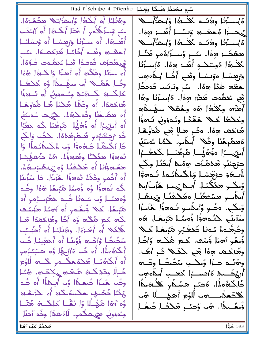Had B`schabo 4 DDenho أَسَمْبِو حَقَّحَتُهُمْ بِوْنِسُلْ وهَبْلِيْلِ أَنْ أَبْحُدُهُ إِنَّ مِحْمَدُوا مِحَمَّـٰ وَمَا. كَامِسْتُمْلُ وَهُنَسَهِ كَلَاسُهُ! وَٱسْتَدَارُ الْمُسَارَ سَرِ وَسَلَكُفُوا أَ هَٰتَا أَكْـدَّا أَه ٱاْعُكَــ لىحسأل كمعقده وبسلسل أهُد: 50%. أَهَٰـٰٓ;ةَا. أَه مسْأَلًا وَرُهِـٰنُـا أَه وَسُلَكُـا كَامِسْتُمْلُ وَهُنَسَهِ كَلَّكُواْ وَٱسْتَدَارُ الْمُسَارَ أحقده وهُده أُحُاسُا هُرَكَعدَا. مَيْ هدَهَكَـــز «هِهُ أَ. مَيْــر وَمِيـــزٌ/هُومِ هَنْـُــا فَيْمَحَرَّمْ شُوْمَهُمْ قَدْ كَمَّوْمَ مُرَّرَةً لِ كْلُبْهَا هُوسْكُمْ أُهَٰذٍ هِهَٰا. هَامِيَّتُل أَه مِنْزَلًا وحَكْمَ أَه أَهْدُا وَالْحُدَّةُ! هَهُ! وتوهشا هوبشا وهب أكا إيكاموت وحُا هُكَــلا أَب سهُــبدًا وَّه حُلَقُـاً هَعْدَهِ هُذَا هِهُا. ۚ مَمْ وَتَرِئَب ضَوْحَطُ كَلِكُ بِهُ لَكُ هُمُكُمْ وِشُـوْوِبُ أَو نَــْهِ وَٰ بْعِي مُحصَّدت هُدْ: 3,0%، 6,مسَّرُّلُ وَ1, هُدِكَهِمَّا. أَو وَشَكِّلَا هُكْسًا هُدَا هُوَهُمَّا أهنَّ وَكَلَّهُ أَهُ وَهُشَلاً سَؤُسَدَّهُ أَه هَدَيْهُمُّا وِثَمَكْمَةً. لَكَيْتَ شَمْسُةُ وحُلْمُل كَلا هَقَدْا وشُووبُ نَهُوْا أَهِ أَسْرَحُوْا أَه وَهُوُلِ هَرِهُنا كُم حَقَرَا هَٰدِيْكَ وَوَٰدًا. وَكُمْ هَذَا قِي هُوَوُّهَا. هُمْ رُحِنْتُبُومِ هُمِعٌبِهُكُمْ}. كَحُبْ وْالْكُمْ هُهمُبِهُمُّا وِثُلاً ٱمكُسِ. حَدُّا شُمَعُهُ كَا ٱلْكُنْقَا كُنُّوَةًا وًٰٮ لِمُكْتُوَلًّا وَٰا أَسْرَبِ إِلَّا هَذَهُ فُسَا هَرِهُنَا كَحْمَدُ ۚ إِ لُّهِ وَوَّا مِكْلُنَّا وِهُدُوؤُ}. هَا جَزْهِهُبَدا حرْجِئْنُو شَدْهَٰذُت وِهَٰىٰ أَمْثَنَا وِكُبِّ هِمَهُوزُلًا أَو هَٰكُفُلًا وَوَحِ بِمَعْبَرِكِمَا. لمَسهُو حرّقِيسًا وَلِمُحُمَّدُها شُوهوْا أَه أَحُمرِ وِثْمًا نُورُوْا هُنُنْا. دُا مُنْظَر وَْكُــو هكَتُكُــُا. أَبِــدْ رَحِمــز هَزَّــزُابِـدْ لَّكُمْ نُوْهُوْا وُو وُوْمِدًا هَبُيْعًا هَوْا وِضُمْ أحكرن لنفكضه متمصله وبملك وُّەھئىل وُت سُنەئل كُنىڭ بْھُمْ ِيَنُوتْ أَوْ وَّىكَــدِ. وصُــرِ وَٱمكَـــرِ شَــوهُوَّا ـعَنَّنــزَّا هُبُما. كَلا وُمِعُوبِ أَنْ أَهْلَا هَزَمَنَكَ مْأَمَّكُمْ كَلّْدَهُوْا وّْمِمْلَ كَبُرْهُلْ. 6ه لكن كم هُكْنَ وُهِ أَجُلَ وِهَٰلِكَهِمَا هَـا لَمُلَكُمْ أَن أَهُدْهَا. وهَالْمُا أَن أَحَزَّتَهُ وَحَرِشُدِهِ مُدَمًّا حَدِيثُهِ هَٰٓبَـِهَـا حَدِ مَحْمَدُ وَٱدْهَ وَوَّسُلَ أَه أَحْقَبِنَا دُحَ وَّمِعُو أَهْلَا وَّمْتَكَ. كَتَمْ هُكْتُ وَٱجْلَ أَلْحُدُّهَا. أَو حُب وَأَزْبِجُا وُو هِيئِيْدُوبِ وِهَٰدَتَـٰت وَهُۥۢ قِبْ لِلنَّمْلا ضَرِ أُهَٰـٰٓ:. أَه أَحْدَّمُـٰـا مَحْمَعكُــم كَـــرَّه لُلوُم وهُنَّــه حــزًا وُلمَــبِ مَكْـحُــأ وحْـــره كَرْلَا وِنْمْكَلّْهُ هُنْفُلُهُ بِكُنْدُهُ. هَٰنُا أَرْيُحُـــدا ةَاتــبـــرَّا كَـتحــبِ أَـدَّهِ وَبِ وِكُتْ هُنَزًا شُعْجًا وُبِ أَبِيْهِاْ أَوْ هُوَ كَلِكُدُّهَا. هُحمَّ هِسُكُمِ كَلَّكُدُمُكُمْ لِخُمُّا خَصَّى مِكْسَمَىْكُلُّهِ أَو كَنْهُلُّهُ كَلْتُعَدِّرْ الْمُوالِي الْمُؤْمَرَ أَحْمَى اللَّهُ الْمُحَمَّدُ الْمُحَمَّدُ الْمُحَمَّدُ الْمُحَم وُه ٱهَا هَٰذُلًا وَا نُغْـا كالْحْــفِ هَٰتْــا وَّىمُــٰـمَٰا. ۞ وَحَـَـٰـِ هَـٰـٰـُـٰـا كَـٰمُــا ونُدووبُ مهْيِحْكُدِ. لَادُهْدَا وِحُد أَصَلُا مَحْدُمُا حَرَّىرِ ٱلْأَمَّا  $\frac{1}{2}$ فَلِمُ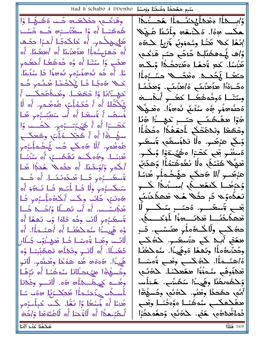Had B`schabo 4 DDenho أَسَمْ بِوَسْلِمَ Had B`schabo 4 DDenho وڤَزْنُـــمٍ حنْلَــقَــهِ حُــبٍ هَشَيْــل وَّا وَّابِكُمَّا الْمَحْمَلُونَ مِنْكُمْ الْمُحَسَّنَاهُ هُوهَمَا أَو وَا مِعْتَزَتِهِ كُنَّ كُمَّتَ هكْسا 160. ەَݣْبْكُتْ وِلْمُسْلَا ھُكْتَلَا هَايِهِكُوبِ. أَو حَالِكُوجًا أَحبُرا حصْف إِنْهَا كَلَّا هَٰتُا وِشُوْوِبُ وَّرْبِي كَلَّىٰ الْمَدَّةُ أَه شَعَبُهِنَّمَ أَلا مِدَمِنَ مَنَّ اللَّهِ أَمْ الْمَعْمَلَا. أَه وُاف لِّـهِ فَعُنُالِــمْ خَاجُــ حَــّـرٍ قَـْتَحُــمِ هنَّب وَا سَتْلَمْ أَه وُه شُههُكُلَّ أَحْقُـٰه بِ هُزُمُا. كُم تُحِمُّا مِعْتِحِجُّا وُحْدُه عًا. أَو حُم نُوووَ بُوم نُووووُا طُ مُنَّامَلًا. حَمَّصًا هُكَنــه. هِمْفُـــلا حَسَــرُه أَل كَحِلًا هَءَجًا حُا إِبْلَاجُمَا هُنْدُو خُد ەكْزۇا ھەھدىك ۋاھزىك. ۆھكىلە تَّكِيمُ أَرُّلًا وَلَا شَقْعْمَا. ومُحَكِّكُمُ أَنَّ ومَتْسًا هُوِدُه هُعُسًا كَعُسِرٍ أَمِّدْسِفُ لْكُثُّلا أُه أَ حُدْءُلَمَ هُوهُدور. أَو لُا أَهُجِنُّهُ مِنْهُمْ مِنْهُمْ لَا يَوْمَؤُا. وَشَيْئُ الْمُسْتَمَرُ وُممعًى أَ وَممعْا أَه أَبِ مْسَبِّبُوْمٍ هَا هُوْا هِقُىقُتَبِ حَيْبِ كُلْمَ أَا هُنَا كَخْسَــْمَ أَنْ كَيْكِيّْسَـــرُّوي. حَكْسَب وَا ودْهْعْدَا ونْدْهَدْكُمْ لِمُعْعَدُا هِدُدُٰلُهُ ا سَوُّتَ أَو أَ هَضِكُ وُلَمِّي وَهُعَكُمْ } وُبِكُمْ هَزُهُنُو. وَلَا تَكَاؤُمِيَّتُمْ وَمُنْقَضِ هُوَهُومٍ. ٱلْلا هُوجُعُ كُبِ فُهُومُ وَهُوَمِ ەَمىسُّى بْحَـ كَحَـْمَ! ەھُيُــةوْ! وُـكـــو. هُزئــا. وِرُّەكْــە ئۇھُـــَى أَو عَزُنْــا مْدِيُّلا هَتَىٰكُمْ والْ نُعْوِهُتُوْلُمْ وَهِدَنِّي أَكْدِيرٍ وَٱوْحَكْمَاً. أَو حِثَدِيْ الْمُحَكَّلِ هَـٰ أَ هَ مُحَسِرِ ٱللسَّكَلِ حَهُنصَّمَلُرٍ هُـٰٓتَـٰہِ ال وَّمكْمَـــرُّەرِ كُــا مُّمكَەنُمَـّـا. أَە كُــە وَحَرَمُهَا كَعَصَدَ إِسْتُرَهُا كُلِّب مَّىكْسِبُومِ وَلَا حُبا لَمْيُعِ جُبا سُبَّةٍ أَو تَعَكُّەرَّىلا كَرِ حَثَّلا هُىلا شَعْكَدْتُبُّ ھَەنَّىً ۚ خَانَّب مِكْت ٱلْحُدُّه ۚ اُخْتِهِ مَا قْبَ قُىھَسىر. ەَحسَّى مَىڭسىر لَّا هَٰذُوسُنَــب، أَه أَب تَعَــلًا وُاجَــد كَــل مْعِكْتُنْـا مْحْتَــهؤُا لَمْعْـَــمكَى. وَّمَعَكَّرُومٍ لَّابٌ وَثَّهَ ثَارُهُ! وَّبَ نَعْمًا أَو دەُكْب ولَاڭلۇەلم ھنىسٌب. ضَر وُّه فَهٰذًا مُدَحَدُكُما أُه أُهْشَدَاًا. أُه ھَقَ أَبِيْ لَبِ حَنَسِكَتَبِ. لَمَهُكُتَبِ لَّائَــٰ وهَــا قُومْـا كُـا هَدْخُوَّب كَـلَّار دَهَمــُلا. أَه لَاتــب وشَمْلُره تعمَّبُيْتـا وُه وحَدَّمِثَه مَا الْمِحْمَا هُوفَيْ:ا. مِنْمَكِنُطُ ةُاهِنَــواًا. لِكَمُكْنَـبٍ وِثْنَـبٍ وُّوسْــأ كَهِيزًا. ‱ەۋە ھُە ھەْكا وِهُىئُەب. لَّاتْب وَكُسِجُةًا مِهَبِحِلَاتًا مُعَمَّدًا أَهُ بَبُفَـاً تَعْدَوُوفَ ۚ مُدَوُّوُۢ مَعَعَلاَ ۖ لَا مَعَلَمَ ۖ لَا مَعَلَمَ ۖ وَلَا يَ وهُــــه كَـــدِكْم هُـــه هُـه. لَٰاتــــــو وَشَاتَـل وَحْدَّقُوبِهُمَّا وِفَيْءًا مُنَصَّنَبٍ. هُـَٰٓمَلِّس أَنَّهِ حَمَّحَدًا وِمْنُو. حَامُنُهِ وِحَسِيْرَةَ! لَمْسِلُمَا مِنْحَشَاهَ الْمَصْلَحِينَ الْمَسْلَمَاتِ الْمَسْلَمَاتِ هُدِمًا أَه فَمُعُدًا وَا نُقُل كُبِ كَدِلَتَوْمِرِ هفَكُفَكُبَ مُنْقَفُسًا وَوُوضُلًا وَثِقَبَ أَحكَبُ هَذَا أَه لَلرُّحْنَا أَه لَّاهُتَفقَط وْاَحَدَه ثَملَتُمٰهُ مَنْ مَنْ الْمَوْسُ وَحِمُوحَدُرُا مَحْدُمُنْ حَزَّىرِ ٱلْأَمَّا  $\frac{1}{2}$  فَلا